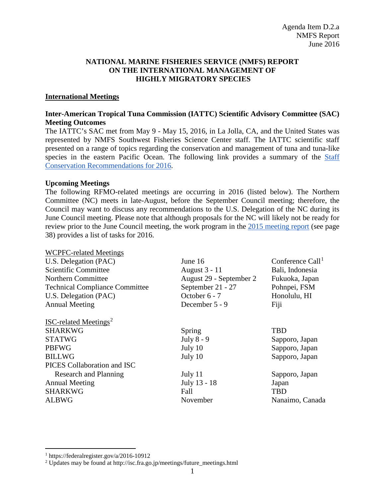## **NATIONAL MARINE FISHERIES SERVICE (NMFS) REPORT ON THE INTERNATIONAL MANAGEMENT OF HIGHLY MIGRATORY SPECIES**

## **International Meetings**

## **Inter-American Tropical Tuna Commission (IATTC) Scientific Advisory Committee (SAC) Meeting Outcomes**

The IATTC's SAC met from May 9 - May 15, 2016, in La Jolla, CA, and the United States was represented by NMFS Southwest Fisheries Science Center staff. The IATTC scientific staff presented on a range of topics regarding the conservation and management of tuna and tuna-like species in the eastern Pacific Ocean. The following link provides a summary of the Staff [Conservation Recommendations for 2016.](https://www.iattc.org/Meetings/Meetings2016/SAC7/PDFfiles/SAC-07-08-Conservation-recommendations-2016.pdf)

## **Upcoming Meetings**

 $WQ$  $R$  $R$  $R$  $R$  $R$  $R$  $R$  $R$  $R$  $R$ 

The following RFMO-related meetings are occurring in 2016 (listed below). The Northern Committee (NC) meets in late-August, before the September Council meeting; therefore, the Council may want to discuss any recommendations to the U.S. Delegation of the NC during its June Council meeting. Please note that although proposals for the NC will likely not be ready for review prior to the June Council meeting, the work program in the [2015 meeting report](https://www.wcpfc.int/meeting-folders/northern-committee) (see page 38) provides a list of tasks for 2016.

| WCPFC-related Meetings                  |                         |                              |
|-----------------------------------------|-------------------------|------------------------------|
| U.S. Delegation (PAC)                   | June 16                 | Conference Call <sup>1</sup> |
| Scientific Committee                    | August 3 - 11           | Bali, Indonesia              |
| Northern Committee                      | August 29 - September 2 | Fukuoka, Japan               |
| <b>Technical Compliance Committee</b>   | September 21 - 27       | Pohnpei, FSM                 |
| U.S. Delegation (PAC)                   | October 6 - 7           | Honolulu, HI                 |
| <b>Annual Meeting</b>                   | December 5 - 9          | Fiji                         |
| <b>ISC-related Meetings<sup>2</sup></b> |                         |                              |
| <b>SHARKWG</b>                          | Spring                  | <b>TBD</b>                   |
| <b>STATWG</b>                           | July 8 - 9              | Sapporo, Japan               |
| <b>PBFWG</b>                            | July 10                 | Sapporo, Japan               |
| <b>BILLWG</b>                           | July 10                 | Sapporo, Japan               |
| PICES Collaboration and ISC             |                         |                              |
| Research and Planning                   | July 11                 | Sapporo, Japan               |
| <b>Annual Meeting</b>                   | July 13 - 18            | Japan                        |
| <b>SHARKWG</b>                          | Fall                    | <b>TBD</b>                   |
| <b>ALBWG</b>                            | November                | Nanaimo, Canada              |
|                                         |                         |                              |

 <sup>1</sup> https://federalregister.gov/a/2016-10912

<span id="page-0-1"></span><span id="page-0-0"></span><sup>&</sup>lt;sup>2</sup> Updates may be found at http://isc.fra.go.jp/meetings/future\_meetings.html